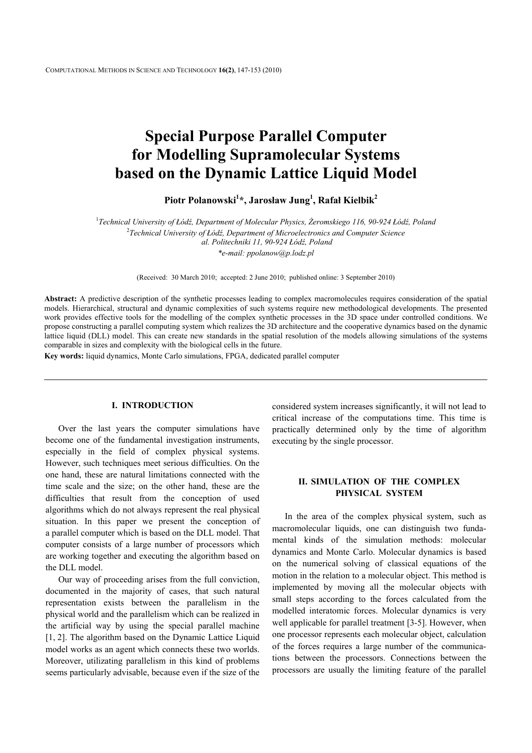COMPUTATIONAL METHODS IN SCIENCE AND TECHNOLOGY **16(2)**, 147-153 (2010)

# **Special Purpose Parallel Computer for Modelling Supramolecular Systems based on the Dynamic Lattice Liquid Model**

**Piotr Polanowski<sup>1</sup> \*, Jarosław Jung<sup>1</sup> , Rafał Kielbik2**

1 *Technical University of Łódź, Department of Molecular Physics, Żeromskiego 116, 90-924 Łódź, Poland* 2 *Technical University of Łódź, Department of Microelectronics and Computer Science al. Politechniki 11, 90-924 Łódź, Poland \*e-mail: ppolanow@p.lodz.pl* 

(Received: 30 March 2010; accepted: 2 June 2010; published online: 3 September 2010)

**Abstract:** A predictive description of the synthetic processes leading to complex macromolecules requires consideration of the spatial models. Hierarchical, structural and dynamic complexities of such systems require new methodological developments. The presented work provides effective tools for the modelling of the complex synthetic processes in the 3D space under controlled conditions. We propose constructing a parallel computing system which realizes the 3D architecture and the cooperative dynamics based on the dynamic lattice liquid (DLL) model. This can create new standards in the spatial resolution of the models allowing simulations of the systems comparable in sizes and complexity with the biological cells in the future.

**Key words:** liquid dynamics, Monte Carlo simulations, FPGA, dedicated parallel computer

# **I. INTRODUCTION**

 Over the last years the computer simulations have become one of the fundamental investigation instruments, especially in the field of complex physical systems. However, such techniques meet serious difficulties. On the one hand, these are natural limitations connected with the time scale and the size; on the other hand, these are the difficulties that result from the conception of used algorithms which do not always represent the real physical situation. In this paper we present the conception of a parallel computer which is based on the DLL model. That computer consists of a large number of processors which are working together and executing the algorithm based on the DLL model.

 Our way of proceeding arises from the full conviction, documented in the majority of cases, that such natural representation exists between the parallelism in the physical world and the parallelism which can be realized in the artificial way by using the special parallel machine [1, 2]. The algorithm based on the Dynamic Lattice Liquid model works as an agent which connects these two worlds. Moreover, utilizating parallelism in this kind of problems seems particularly advisable, because even if the size of the considered system increases significantly, it will not lead to critical increase of the computations time. This time is practically determined only by the time of algorithm executing by the single processor.

## **II. SIMULATION OF THE COMPLEX PHYSICAL SYSTEM**

 In the area of the complex physical system, such as macromolecular liquids, one can distinguish two fundamental kinds of the simulation methods: molecular dynamics and Monte Carlo. Molecular dynamics is based on the numerical solving of classical equations of the motion in the relation to a molecular object. This method is implemented by moving all the molecular objects with small steps according to the forces calculated from the modelled interatomic forces. Molecular dynamics is very well applicable for parallel treatment [3-5]. However, when one processor represents each molecular object, calculation of the forces requires a large number of the communications between the processors. Connections between the processors are usually the limiting feature of the parallel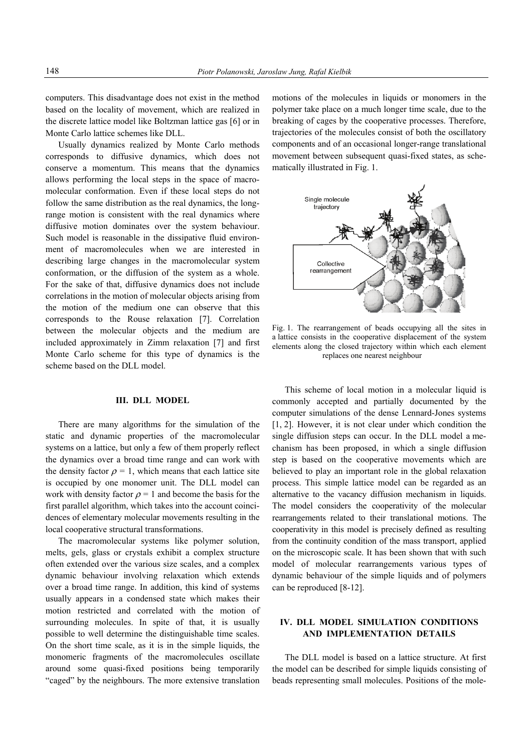computers. This disadvantage does not exist in the method based on the locality of movement, which are realized in the discrete lattice model like Boltzman lattice gas [6] or in Monte Carlo lattice schemes like DLL.

Usually dynamics realized by Monte Carlo methods corresponds to diffusive dynamics, which does not conserve a momentum. This means that the dynamics allows performing the local steps in the space of macromolecular conformation. Even if these local steps do not follow the same distribution as the real dynamics, the longrange motion is consistent with the real dynamics where diffusive motion dominates over the system behaviour. Such model is reasonable in the dissipative fluid environment of macromolecules when we are interested in describing large changes in the macromolecular system conformation, or the diffusion of the system as a whole. For the sake of that, diffusive dynamics does not include correlations in the motion of molecular objects arising from the motion of the medium one can observe that this corresponds to the Rouse relaxation [7]. Correlation between the molecular objects and the medium are included approximately in Zimm relaxation [7] and first Monte Carlo scheme for this type of dynamics is the scheme based on the DLL model.

### **III. DLL MODEL**

 There are many algorithms for the simulation of the static and dynamic properties of the macromolecular systems on a lattice, but only a few of them properly reflect the dynamics over a broad time range and can work with the density factor  $\rho = 1$ , which means that each lattice site is occupied by one monomer unit. The DLL model can work with density factor  $\rho = 1$  and become the basis for the first parallel algorithm, which takes into the account coincidences of elementary molecular movements resulting in the local cooperative structural transformations.

 The macromolecular systems like polymer solution, melts, gels, glass or crystals exhibit a complex structure often extended over the various size scales, and a complex dynamic behaviour involving relaxation which extends over a broad time range. In addition, this kind of systems usually appears in a condensed state which makes their motion restricted and correlated with the motion of surrounding molecules. In spite of that, it is usually possible to well determine the distinguishable time scales. On the short time scale, as it is in the simple liquids, the monomeric fragments of the macromolecules oscillate around some quasi-fixed positions being temporarily "caged" by the neighbours. The more extensive translation

motions of the molecules in liquids or monomers in the polymer take place on a much longer time scale, due to the breaking of cages by the cooperative processes. Therefore, trajectories of the molecules consist of both the oscillatory components and of an occasional longer-range translational movement between subsequent quasi-fixed states, as schematically illustrated in Fig. 1.



Fig. 1. The rearrangement of beads occupying all the sites in a lattice consists in the cooperative displacement of the system elements along the closed trajectory within which each element replaces one nearest neighbour

 This scheme of local motion in a molecular liquid is commonly accepted and partially documented by the computer simulations of the dense Lennard-Jones systems [1, 2]. However, it is not clear under which condition the single diffusion steps can occur. In the DLL model a mechanism has been proposed, in which a single diffusion step is based on the cooperative movements which are believed to play an important role in the global relaxation process. This simple lattice model can be regarded as an alternative to the vacancy diffusion mechanism in liquids. The model considers the cooperativity of the molecular rearrangements related to their translational motions. The cooperativity in this model is precisely defined as resulting from the continuity condition of the mass transport, applied on the microscopic scale. It has been shown that with such model of molecular rearrangements various types of dynamic behaviour of the simple liquids and of polymers can be reproduced [8-12].

# **IV. DLL MODEL SIMULATION CONDITIONS AND IMPLEMENTATION DETAILS**

 The DLL model is based on a lattice structure. At first the model can be described for simple liquids consisting of beads representing small molecules. Positions of the mole-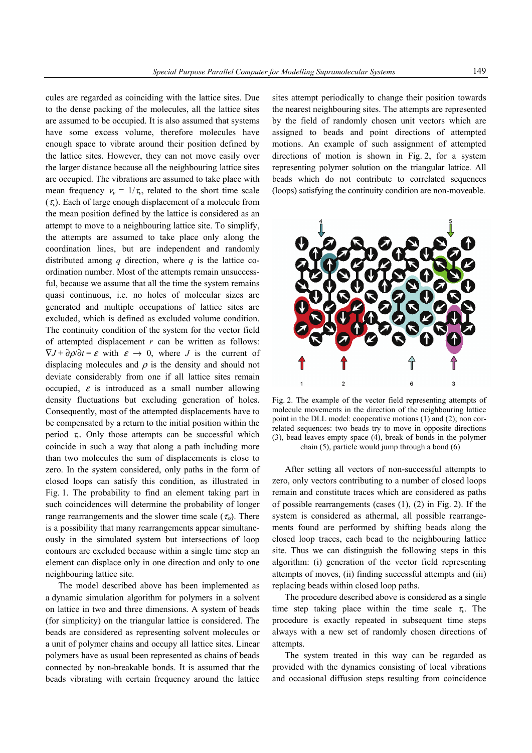cules are regarded as coinciding with the lattice sites. Due to the dense packing of the molecules, all the lattice sites are assumed to be occupied. It is also assumed that systems have some excess volume, therefore molecules have enough space to vibrate around their position defined by the lattice sites. However, they can not move easily over the larger distance because all the neighbouring lattice sites are occupied. The vibrations are assumed to take place with mean frequency  $v_y = 1/\tau_y$ , related to the short time scale  $(\tau_v)$ . Each of large enough displacement of a molecule from the mean position defined by the lattice is considered as an attempt to move to a neighbouring lattice site. To simplify, the attempts are assumed to take place only along the coordination lines, but are independent and randomly distributed among *q* direction, where *q* is the lattice coordination number. Most of the attempts remain unsuccessful, because we assume that all the time the system remains quasi continuous, i.e. no holes of molecular sizes are generated and multiple occupations of lattice sites are excluded, which is defined as excluded volume condition. The continuity condition of the system for the vector field of attempted displacement *r* can be written as follows:  $\nabla J + \frac{\partial \rho}{\partial t} = \varepsilon$  with  $\varepsilon \to 0$ , where *J* is the current of displacing molecules and  $\rho$  is the density and should not deviate considerably from one if all lattice sites remain occupied,  $\varepsilon$  is introduced as a small number allowing density fluctuations but excluding generation of holes. Consequently, most of the attempted displacements have to be compensated by a return to the initial position within the period  $\tau_v$ . Only those attempts can be successful which coincide in such a way that along a path including more than two molecules the sum of displacements is close to zero. In the system considered, only paths in the form of closed loops can satisfy this condition, as illustrated in Fig. 1. The probability to find an element taking part in such coincidences will determine the probability of longer range rearrangements and the slower time scale ( $\tau_{\alpha}$ ). There is a possibility that many rearrangements appear simultaneously in the simulated system but intersections of loop contours are excluded because within a single time step an element can displace only in one direction and only to one neighbouring lattice site.

 The model described above has been implemented as a dynamic simulation algorithm for polymers in a solvent on lattice in two and three dimensions. A system of beads (for simplicity) on the triangular lattice is considered. The beads are considered as representing solvent molecules or a unit of polymer chains and occupy all lattice sites. Linear polymers have as usual been represented as chains of beads connected by non-breakable bonds. It is assumed that the beads vibrating with certain frequency around the lattice

sites attempt periodically to change their position towards the nearest neighbouring sites. The attempts are represented by the field of randomly chosen unit vectors which are assigned to beads and point directions of attempted motions. An example of such assignment of attempted directions of motion is shown in Fig. 2, for a system representing polymer solution on the triangular lattice. All beads which do not contribute to correlated sequences (loops) satisfying the continuity condition are non-moveable.



Fig. 2. The example of the vector field representing attempts of molecule movements in the direction of the neighbouring lattice point in the DLL model: cooperative motions (1) and (2); non correlated sequences: two beads try to move in opposite directions (3), bead leaves empty space (4), break of bonds in the polymer chain (5), particle would jump through a bond (6)

 After setting all vectors of non-successful attempts to zero, only vectors contributing to a number of closed loops remain and constitute traces which are considered as paths of possible rearrangements (cases (1), (2) in Fig. 2). If the system is considered as athermal, all possible rearrangements found are performed by shifting beads along the closed loop traces, each bead to the neighbouring lattice site. Thus we can distinguish the following steps in this algorithm: (i) generation of the vector field representing attempts of moves, (ii) finding successful attempts and (iii) replacing beads within closed loop paths.

 The procedure described above is considered as a single time step taking place within the time scale  $\tau_v$ . The procedure is exactly repeated in subsequent time steps always with a new set of randomly chosen directions of attempts.

 The system treated in this way can be regarded as provided with the dynamics consisting of local vibrations and occasional diffusion steps resulting from coincidence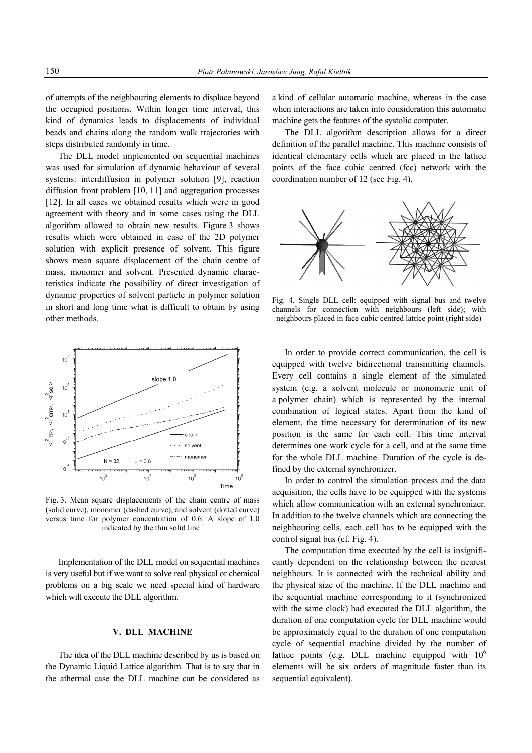of attempts of the neighbouring elements to displace beyond the occupied positions. Within longer time interval, this kind of dynamics leads to displacements of individual beads and chains along the random walk trajectories with steps distributed randomly in time.

 The DLL model implemented on sequential machines was used for simulation of dynamic behaviour of several systems: interdiffusion in polymer solution [9], reaction diffusion front problem [10, 11] and aggregation processes [12]. In all cases we obtained results which were in good agreement with theory and in some cases using the DLL algorithm allowed to obtain new results. Figure 3 shows results which were obtained in case of the 2D polymer solution with explicit presence of solvent. This figure shows mean square displacement of the chain centre of mass, monomer and solvent. Presented dynamic characteristics indicate the possibility of direct investigation of dynamic properties of solvent particle in polymer solution in short and long time what is difficult to obtain by using other methods.



Fig. 3. Mean square displacements of the chain centre of mass (solid curve), monomer (dashed curve), and solvent (dotted curve) versus time for polymer concentration of 0.6. A slope of 1.0 indicated by the thin solid line

 Implementation of the DLL model on sequential machines is very useful but if we want to solve real physical or chemical problems on a big scale we need special kind of hardware which will execute the DLL algorithm.

#### **V. DLL MACHINE**

 The idea of the DLL machine described by us is based on the Dynamic Liquid Lattice algorithm. That is to say that in the athermal case the DLL machine can be considered as

a kind of cellular automatic machine, whereas in the case when interactions are taken into consideration this automatic machine gets the features of the systolic computer.

 The DLL algorithm description allows for a direct definition of the parallel machine. This machine consists of identical elementary cells which are placed in the lattice points of the face cubic centred (fcc) network with the coordination number of 12 (see Fig. 4).



Fig. 4. Single DLL cell: equipped with signal bus and twelve channels for connection with neighbours (left side); with neighbours placed in face cubic centred lattice point (right side)

 In order to provide correct communication, the cell is equipped with twelve bidirectional transmitting channels. Every cell contains a single element of the simulated system (e.g. a solvent molecule or monomeric unit of a polymer chain) which is represented by the internal combination of logical states. Apart from the kind of element, the time necessary for determination of its new position is the same for each cell. This time interval determines one work cycle for a cell, and at the same time for the whole DLL machine. Duration of the cycle is defined by the external synchronizer.

 In order to control the simulation process and the data acquisition, the cells have to be equipped with the systems which allow communication with an external synchronizer. In addition to the twelve channels which are connecting the neighbouring cells, each cell has to be equipped with the control signal bus (cf. Fig. 4).

The computation time executed by the cell is insignificantly dependent on the relationship between the nearest neighbours. It is connected with the technical ability and the physical size of the machine. If the DLL machine and the sequential machine corresponding to it (synchronized with the same clock) had executed the DLL algorithm, the duration of one computation cycle for DLL machine would be approximately equal to the duration of one computation cycle of sequential machine divided by the number of lattice points (e.g. DLL machine equipped with  $10<sup>6</sup>$ elements will be six orders of magnitude faster than its sequential equivalent).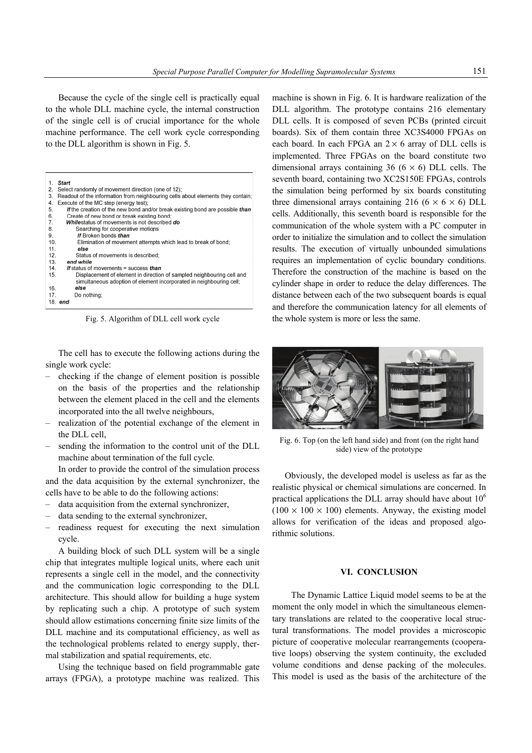Because the cycle of the single cell is practically equal to the whole DLL machine cycle, the internal construction of the single cell is of crucial importance for the whole machine performance. The cell work cycle corresponding to the DLL algorithm is shown in Fig. 5.

| <b>Start</b><br>1.                                                                    |
|---------------------------------------------------------------------------------------|
| Select randomly of movement direction (one of 12);<br>2.                              |
| 3.<br>Readout of the information from neighbouring cells about elements they contain; |
| 4.<br>Execute of the MC step (energy test);                                           |
| If the creation of the new bond and/or break existing bond are possible than<br>5.    |
| Create of new bond or break existing bond;<br>6.                                      |
| 7.<br>Whilestatus of movements is not described do                                    |
| 8.<br>Searching for cooperative motions                                               |
| 9.<br>If Broken bonds than                                                            |
| 10.<br>Elimination of movement attempts which lead to break of bond;                  |
| 11.<br>else                                                                           |
| 12.<br>Status of movements is described;                                              |
| 13.<br>end while                                                                      |
| 14.<br>If status of movements = success than                                          |
| 15.<br>Displacement of element in direction of sampled neighbouring cell and          |
| simultaneous adoption of element incorporated in neighbouring cell:                   |
| else<br>16.                                                                           |
| 17.<br>Do nothing:                                                                    |
| 18. end                                                                               |
|                                                                                       |

Fig. 5. Algorithm of DLL cell work cycle

 The cell has to execute the following actions during the single work cycle:

- checking if the change of element position is possible on the basis of the properties and the relationship between the element placed in the cell and the elements incorporated into the all twelve neighbours,
- realization of the potential exchange of the element in the DLL cell,
- sending the information to the control unit of the DLL machine about termination of the full cycle.

 In order to provide the control of the simulation process and the data acquisition by the external synchronizer, the cells have to be able to do the following actions:

- data acquisition from the external synchronizer,
- data sending to the external synchronizer,
- readiness request for executing the next simulation cycle.

 A building block of such DLL system will be a single chip that integrates multiple logical units, where each unit represents a single cell in the model, and the connectivity and the communication logic corresponding to the DLL architecture. This should allow for building a huge system by replicating such a chip. A prototype of such system should allow estimations concerning finite size limits of the DLL machine and its computational efficiency, as well as the technological problems related to energy supply, thermal stabilization and spatial requirements, etc.

 Using the technique based on field programmable gate arrays (FPGA), a prototype machine was realized. This

machine is shown in Fig. 6. It is hardware realization of the DLL algorithm. The prototype contains 216 elementary DLL cells. It is composed of seven PCBs (printed circuit boards). Six of them contain three XC3S4000 FPGAs on each board. In each FPGA an  $2 \times 6$  array of DLL cells is implemented. Three FPGAs on the board constitute two dimensional arrays containing 36 ( $6 \times 6$ ) DLL cells. The seventh board, containing two XC2S150E FPGAs, controls the simulation being performed by six boards constituting three dimensional arrays containing 216 ( $6 \times 6 \times 6$ ) DLL cells. Additionally, this seventh board is responsible for the communication of the whole system with a PC computer in order to initialize the simulation and to collect the simulation results. The execution of virtually unbounded simulations requires an implementation of cyclic boundary conditions. Therefore the construction of the machine is based on the cylinder shape in order to reduce the delay differences. The distance between each of the two subsequent boards is equal and therefore the communication latency for all elements of the whole system is more or less the same.



Fig. 6. Top (on the left hand side) and front (on the right hand side) view of the prototype

 Obviously, the developed model is useless as far as the realistic physical or chemical simulations are concerned. In practical applications the DLL array should have about  $10<sup>6</sup>$  $(100 \times 100 \times 100)$  elements. Anyway, the existing model allows for verification of the ideas and proposed algorithmic solutions.

## **VI. CONCLUSION**

The Dynamic Lattice Liquid model seems to be at the moment the only model in which the simultaneous elementary translations are related to the cooperative local structural transformations. The model provides a microscopic picture of cooperative molecular rearrangements (cooperative loops) observing the system continuity, the excluded volume conditions and dense packing of the molecules. This model is used as the basis of the architecture of the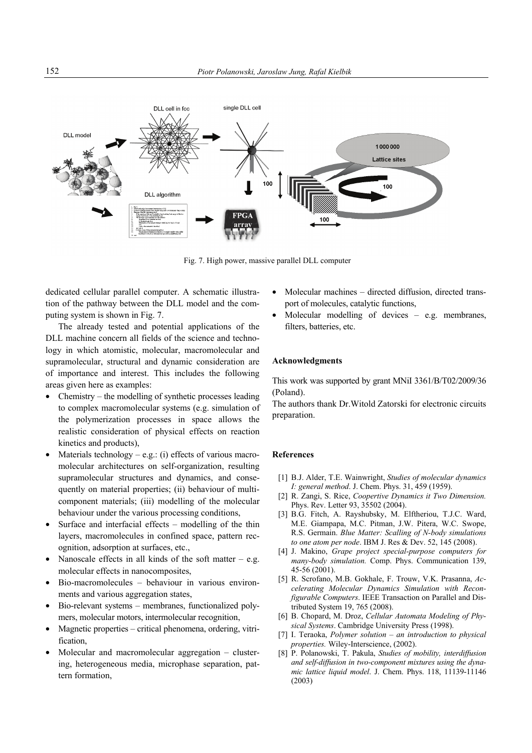

Fig. 7. High power, massive parallel DLL computer

dedicated cellular parallel computer. A schematic illustration of the pathway between the DLL model and the computing system is shown in Fig. 7.

 The already tested and potential applications of the DLL machine concern all fields of the science and technology in which atomistic, molecular, macromolecular and supramolecular, structural and dynamic consideration are of importance and interest. This includes the following areas given here as examples:

- Chemistry the modelling of synthetic processes leading to complex macromolecular systems (e.g. simulation of the polymerization processes in space allows the realistic consideration of physical effects on reaction kinetics and products),
- Materials technology e.g.: (i) effects of various macromolecular architectures on self-organization, resulting supramolecular structures and dynamics, and consequently on material properties; (ii) behaviour of multicomponent materials; (iii) modelling of the molecular behaviour under the various processing conditions,
- Surface and interfacial effects modelling of the thin layers, macromolecules in confined space, pattern recognition, adsorption at surfaces, etc.,
- Nanoscale effects in all kinds of the soft matter  $-$  e.g. molecular effects in nanocomposites,
- Bio-macromolecules behaviour in various environments and various aggregation states,
- Bio-relevant systems membranes, functionalized polymers, molecular motors, intermolecular recognition,
- Magnetic properties critical phenomena, ordering, vitrification,
- Molecular and macromolecular aggregation clustering, heterogeneous media, microphase separation, pattern formation,
- Molecular machines directed diffusion, directed transport of molecules, catalytic functions,
- Molecular modelling of devices e.g. membranes, filters, batteries, etc.

#### **Acknowledgments**

This work was supported by grant MNiI 3361/B/T02/2009/36 (Poland).

The authors thank Dr.Witold Zatorski for electronic circuits preparation.

## **References**

- [1] B.J. Alder, T.E. Wainwright, *Studies of molecular dynamics I: general method*. J. Chem. Phys. 31, 459 (1959).
- [2] R. Zangi, S. Rice, *Coopertive Dynamics it Two Dimension.* Phys. Rev. Letter 93, 35502 (2004).
- [3] B.G. Fitch, A. Rayshubsky, M. Elftheriou, T.J.C. Ward, M.E. Giampapa, M.C. Pitman, J.W. Pitera, W.C. Swope, R.S. Germain. *Blue Matter: Scalling of N-body simulations to one atom per node*. IBM J. Res & Dev. 52, 145 (2008).
- [4] J. Makino, *Grape project special-purpose computers for many-body simulation.* Comp. Phys. Communication 139, 45-56 (2001).
- [5] R. Scrofano, M.B. Gokhale, F. Trouw, V.K. Prasanna, *Accelerating Molecular Dynamics Simulation with Reconfigurable Computers*. IEEE Transaction on Parallel and Distributed System 19, 765 (2008).
- [6] B. Chopard, M. Droz, *Cellular Automata Modeling of Physical Systems*. Cambridge University Press (1998).
- [7] I. Teraoka, *Polymer solution an introduction to physical properties.* Wiley-Interscience, (2002).
- [8] P. Polanowski, T. Pakula, *Studies of mobility, interdiffusion and self-diffusion in two-component mixtures using the dynamic lattice liquid model*. J. Chem. Phys. 118, 11139-11146 (2003)